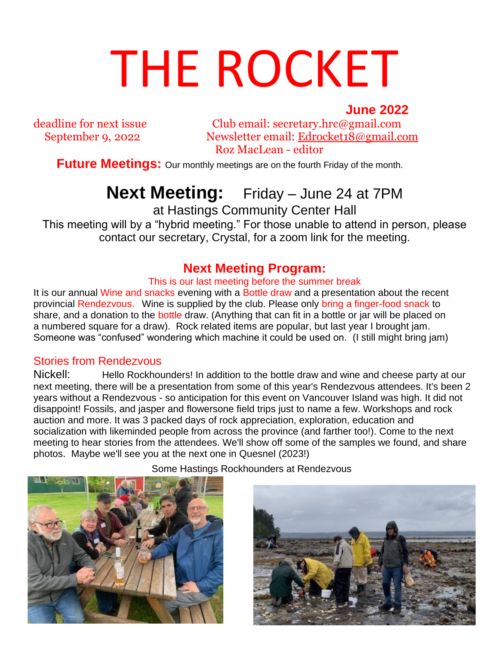# THE ROCKET **June 2022**<br>ext issue Club email: secretary.hrc@gmail.com

deadline for next issue Club email: secretary.hrc@gmail.com September 9, 2022 Newsletter email: [Edrocket18@gmail.com](mailto:Edrocket18@gmail.com) Roz MacLean - editor

**Future Meetings:** Our monthly meetings are on the fourth Friday of the month.

# **Next Meeting:** Friday – June 24 at 7PM

at Hastings Community Center Hall

This meeting will by a "hybrid meeting." For those unable to attend in person, please contact our secretary, Crystal, for a zoom link for the meeting.

#### **Next Meeting Program:**

This is our last meeting before the summer break

It is our annual Wine and snacks evening with a Bottle draw and a presentation about the recent provincial Rendezvous.Wine is supplied by the club. Please only bring a finger-food snack to share, and a donation to the **bottle** draw. (Anything that can fit in a bottle or jar will be placed on a numbered square for a draw). Rock related items are popular, but last year I brought jam. Someone was "confused" wondering which machine it could be used on. (I still might bring jam)

#### Stories from Rendezvous

Nickell: Hello Rockhounders! In addition to the bottle draw and wine and cheese party at our next meeting, there will be a presentation from some of this year's Rendezvous attendees. It's been 2 years without a Rendezvous - so anticipation for this event on Vancouver Island was high. It did not disappoint! Fossils, and jasper and flowersone field trips just to name a few. Workshops and rock auction and more. It was 3 packed days of rock appreciation, exploration, education and socialization with likeminded people from across the province (and farther too!). Come to the next meeting to hear stories from the attendees. We'll show off some of the samples we found, and share photos. Maybe we'll see you at the next one in Quesnel (2023!)



Some Hastings Rockhounders at Rendezvous

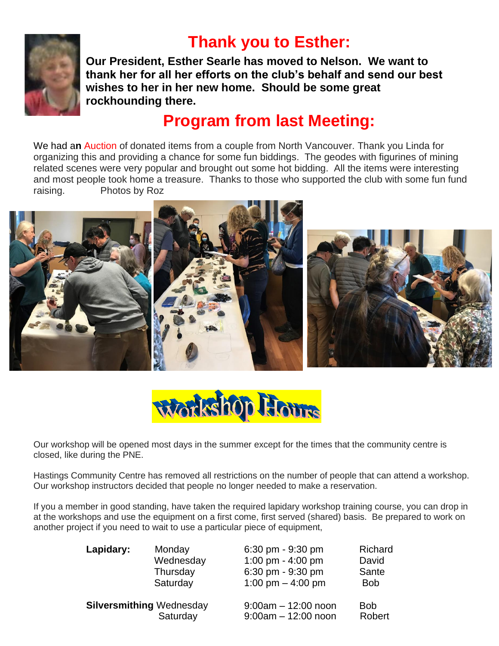

## **Thank you to Esther:**

**Our President, Esther Searle has moved to Nelson. We want to thank her for all her efforts on the club's behalf and send our best wishes to her in her new home. Should be some great rockhounding there.**

### **Program from last Meeting:**

We had a**n** Auction of donated items from a couple from North Vancouver. Thank you Linda for organizing this and providing a chance for some fun biddings. The geodes with figurines of mining related scenes were very popular and brought out some hot bidding. All the items were interesting and most people took home a treasure. Thanks to those who supported the club with some fun fund raising. Photos by Roz





Our workshop will be opened most days in the summer except for the times that the community centre is closed, like during the PNE.

Hastings Community Centre has removed all restrictions on the number of people that can attend a workshop. Our workshop instructors decided that people no longer needed to make a reservation.

If you a member in good standing, have taken the required lapidary workshop training course, you can drop in at the workshops and use the equipment on a first come, first served (shared) basis. Be prepared to work on another project if you need to wait to use a particular piece of equipment,

| Lapidary:                       | Monday    | $6:30 \text{ pm} - 9:30 \text{ pm}$ | Richard    |
|---------------------------------|-----------|-------------------------------------|------------|
|                                 | Wednesday | 1:00 pm - 4:00 pm                   | David      |
|                                 | Thursday  | 6:30 pm - 9:30 pm                   | Sante      |
|                                 | Saturday  | 1:00 pm $-$ 4:00 pm                 | <b>Bob</b> |
| <b>Silversmithing Wednesday</b> |           | $9:00$ am $-12:00$ noon             | <b>Bob</b> |
|                                 | Saturday  | $9:00am - 12:00$ noon               | Robert     |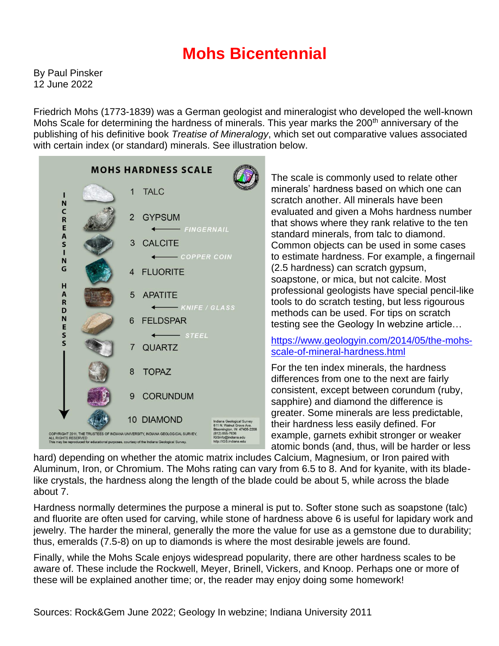## **Mohs Bicentennial**

By Paul Pinsker 12 June 2022

Friedrich Mohs (1773-1839) was a German geologist and mineralogist who developed the well-known Mohs Scale for determining the hardness of minerals. This year marks the 200<sup>th</sup> anniversary of the publishing of his definitive book *Treatise of Mineralogy*, which set out comparative values associated with certain index (or standard) minerals. See illustration below.



The scale is commonly used to relate other minerals' hardness based on which one can scratch another. All minerals have been evaluated and given a Mohs hardness number that shows where they rank relative to the ten standard minerals, from talc to diamond. Common objects can be used in some cases to estimate hardness. For example, a fingernail (2.5 hardness) can scratch gypsum, soapstone, or mica, but not calcite. Most professional geologists have special pencil-like tools to do scratch testing, but less rigourous methods can be used. For tips on scratch testing see the Geology In webzine article…

#### [https://www.geologyin.com/2014/05/the-mohs](https://www.geologyin.com/2014/05/the-mohs-scale-of-mineral-hardness.html)[scale-of-mineral-hardness.html](https://www.geologyin.com/2014/05/the-mohs-scale-of-mineral-hardness.html)

For the ten index minerals, the hardness differences from one to the next are fairly consistent, except between corundum (ruby, sapphire) and diamond the difference is greater. Some minerals are less predictable, their hardness less easily defined. For example, garnets exhibit stronger or weaker atomic bonds (and, thus, will be harder or less

hard) depending on whether the atomic matrix includes Calcium, Magnesium, or Iron paired with Aluminum, Iron, or Chromium. The Mohs rating can vary from 6.5 to 8. And for kyanite, with its bladelike crystals, the hardness along the length of the blade could be about 5, while across the blade about 7.

Hardness normally determines the purpose a mineral is put to. Softer stone such as soapstone (talc) and fluorite are often used for carving, while stone of hardness above 6 is useful for lapidary work and jewelry. The harder the mineral, generally the more the value for use as a gemstone due to durability; thus, emeralds (7.5-8) on up to diamonds is where the most desirable jewels are found.

Finally, while the Mohs Scale enjoys widespread popularity, there are other hardness scales to be aware of. These include the Rockwell, Meyer, Brinell, Vickers, and Knoop. Perhaps one or more of these will be explained another time; or, the reader may enjoy doing some homework!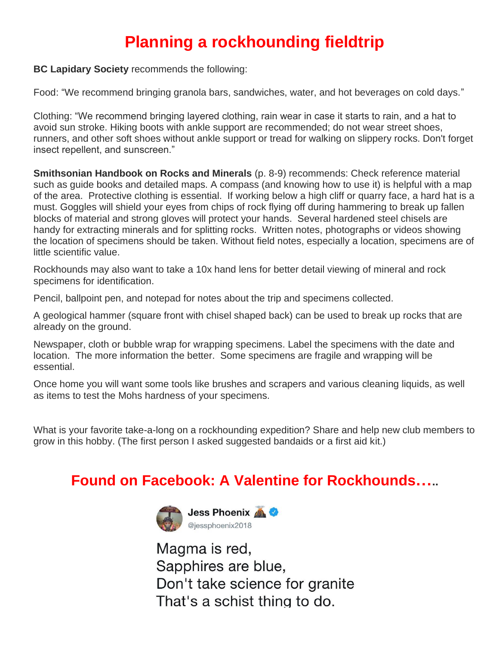# **Planning a rockhounding fieldtrip**

**BC Lapidary Society** recommends the following:

Food: "We recommend bringing granola bars, sandwiches, water, and hot beverages on cold days."

Clothing: "We recommend bringing layered clothing, rain wear in case it starts to rain, and a hat to avoid sun stroke. Hiking boots with ankle support are recommended; do not wear street shoes, runners, and other soft shoes without ankle support or tread for walking on slippery rocks. Don't forget insect repellent, and sunscreen."

**Smithsonian Handbook on Rocks and Minerals** (p. 8-9) recommends: Check reference material such as guide books and detailed maps. A compass (and knowing how to use it) is helpful with a map of the area. Protective clothing is essential. If working below a high cliff or quarry face, a hard hat is a must. Goggles will shield your eyes from chips of rock flying off during hammering to break up fallen blocks of material and strong gloves will protect your hands. Several hardened steel chisels are handy for extracting minerals and for splitting rocks. Written notes, photographs or videos showing the location of specimens should be taken. Without field notes, especially a location, specimens are of little scientific value.

Rockhounds may also want to take a 10x hand lens for better detail viewing of mineral and rock specimens for identification.

Pencil, ballpoint pen, and notepad for notes about the trip and specimens collected.

A geological hammer (square front with chisel shaped back) can be used to break up rocks that are already on the ground.

Newspaper, cloth or bubble wrap for wrapping specimens. Label the specimens with the date and location. The more information the better. Some specimens are fragile and wrapping will be essential.

Once home you will want some tools like brushes and scrapers and various cleaning liquids, as well as items to test the Mohs hardness of your specimens.

What is your favorite take-a-long on a rockhounding expedition? Share and help new club members to grow in this hobby. (The first person I asked suggested bandaids or a first aid kit.)

#### **Found on Facebook: A Valentine for Rockhounds…..**



Magma is red, Sapphires are blue, Don't take science for granite That's a schist thing to do.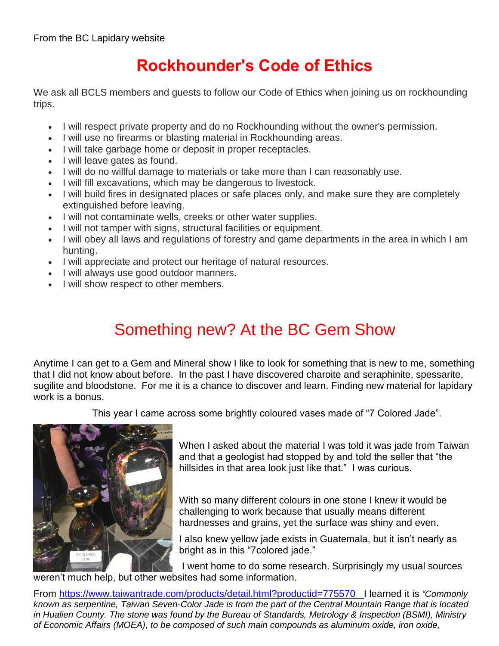# **Rockhounder's Code of Ethics**

We ask all BCLS members and guests to follow our Code of Ethics when joining us on rockhounding trips.

- I will respect private property and do no Rockhounding without the owner's permission.
- I will use no firearms or blasting material in Rockhounding areas.
- I will take garbage home or deposit in proper receptacles.
- I will leave gates as found.
- I will do no willful damage to materials or take more than I can reasonably use.
- I will fill excavations, which may be dangerous to livestock.
- I will build fires in designated places or safe places only, and make sure they are completely extinguished before leaving.
- I will not contaminate wells, creeks or other water supplies.
- I will not tamper with signs, structural facilities or equipment.
- I will obey all laws and regulations of forestry and game departments in the area in which I am hunting.
- I will appreciate and protect our heritage of natural resources.
- I will always use good outdoor manners.
- I will show respect to other members.

# Something new? At the BC Gem Show

Anytime I can get to a Gem and Mineral show I like to look for something that is new to me, something that I did not know about before. In the past I have discovered charoite and seraphinite, spessarite, sugilite and bloodstone. For me it is a chance to discover and learn. Finding new material for lapidary work is a bonus.

This year I came across some brightly coloured vases made of "7 Colored Jade".



When I asked about the material I was told it was jade from Taiwan and that a geologist had stopped by and told the seller that "the hillsides in that area look just like that." I was curious.

With so many different colours in one stone I knew it would be challenging to work because that usually means different hardnesses and grains, yet the surface was shiny and even.

I also knew yellow jade exists in Guatemala, but it isn't nearly as bright as in this "7colored jade."

I went home to do some research. Surprisingly my usual sources weren't much help, but other websites had some information.

From<https://www.taiwantrade.com/products/detail.html?productid=775570>I learned it is *"Commonly known as serpentine, Taiwan Seven-Color Jade is from the part of the Central Mountain Range that is located in Hualien County. The stone was found by the Bureau of Standards, Metrology & Inspection (BSMI), Ministry of Economic Affairs (MOEA), to be composed of such main compounds as aluminum oxide, iron oxide,*